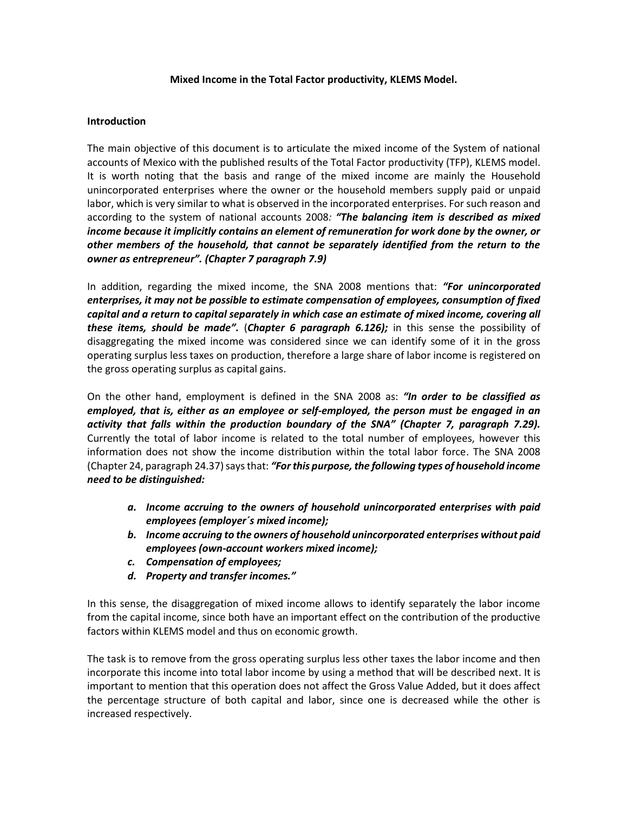## **Mixed Income in the Total Factor productivity, KLEMS Model.**

## **Introduction**

The main objective of this document is to articulate the mixed income of the System of national accounts of Mexico with the published results of the Total Factor productivity (TFP), KLEMS model. It is worth noting that the basis and range of the mixed income are mainly the Household unincorporated enterprises where the owner or the household members supply paid or unpaid labor, which is very similar to what is observed in the incorporated enterprises. For such reason and according to the system of national accounts 2008*: "The balancing item is described as mixed income because it implicitly contains an element of remuneration for work done by the owner, or other members of the household, that cannot be separately identified from the return to the owner as entrepreneur". (Chapter 7 paragraph 7.9)*

In addition, regarding the mixed income, the SNA 2008 mentions that: *"For unincorporated enterprises, it may not be possible to estimate compensation of employees, consumption of fixed capital and a return to capital separately in which case an estimate of mixed income, covering all these items, should be made".* (*Chapter 6 paragraph 6.126);* in this sense the possibility of disaggregating the mixed income was considered since we can identify some of it in the gross operating surplus less taxes on production, therefore a large share of labor income is registered on the gross operating surplus as capital gains.

On the other hand, employment is defined in the SNA 2008 as: *"In order to be classified as employed, that is, either as an employee or self-employed, the person must be engaged in an activity that falls within the production boundary of the SNA" (Chapter 7, paragraph 7.29).* Currently the total of labor income is related to the total number of employees, however this information does not show the income distribution within the total labor force. The SNA 2008 (Chapter 24, paragraph 24.37) says that: *"For this purpose, the following types of household income need to be distinguished:*

- *a. Income accruing to the owners of household unincorporated enterprises with paid employees (employer´s mixed income);*
- *b. Income accruing to the owners of household unincorporated enterprises without paid employees (own-account workers mixed income);*
- *c. Compensation of employees;*
- *d. Property and transfer incomes."*

In this sense, the disaggregation of mixed income allows to identify separately the labor income from the capital income, since both have an important effect on the contribution of the productive factors within KLEMS model and thus on economic growth.

The task is to remove from the gross operating surplus less other taxes the labor income and then incorporate this income into total labor income by using a method that will be described next. It is important to mention that this operation does not affect the Gross Value Added, but it does affect the percentage structure of both capital and labor, since one is decreased while the other is increased respectively.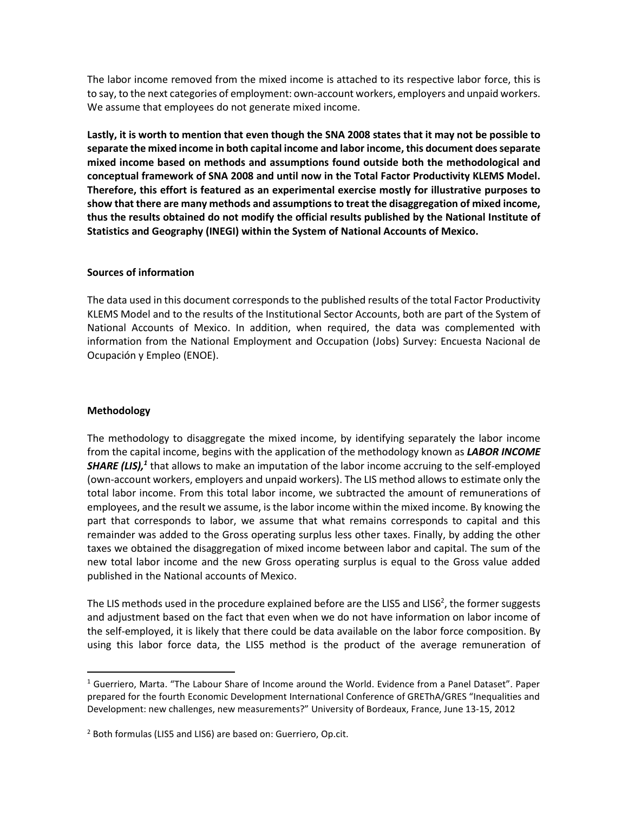The labor income removed from the mixed income is attached to its respective labor force, this is to say, to the next categories of employment: own-account workers, employers and unpaid workers. We assume that employees do not generate mixed income.

**Lastly, it is worth to mention that even though the SNA 2008 states that it may not be possible to separate the mixed income in both capital income and labor income, this document does separate mixed income based on methods and assumptions found outside both the methodological and conceptual framework of SNA 2008 and until now in the Total Factor Productivity KLEMS Model. Therefore, this effort is featured as an experimental exercise mostly for illustrative purposes to show that there are many methods and assumptions to treat the disaggregation of mixed income, thus the results obtained do not modify the official results published by the National Institute of Statistics and Geography (INEGI) within the System of National Accounts of Mexico.**

### **Sources of information**

The data used in this document corresponds to the published results of the total Factor Productivity KLEMS Model and to the results of the Institutional Sector Accounts, both are part of the System of National Accounts of Mexico. In addition, when required, the data was complemented with information from the National Employment and Occupation (Jobs) Survey: Encuesta Nacional de Ocupación y Empleo (ENOE).

## **Methodology**

 $\overline{a}$ 

The methodology to disaggregate the mixed income, by identifying separately the labor income from the capital income, begins with the application of the methodology known as *LABOR INCOME*  SHARE (LIS),<sup>1</sup> that allows to make an imputation of the labor income accruing to the self-employed (own-account workers, employers and unpaid workers). The LIS method allows to estimate only the total labor income. From this total labor income, we subtracted the amount of remunerations of employees, and the result we assume, is the labor income within the mixed income. By knowing the part that corresponds to labor, we assume that what remains corresponds to capital and this remainder was added to the Gross operating surplus less other taxes. Finally, by adding the other taxes we obtained the disaggregation of mixed income between labor and capital. The sum of the new total labor income and the new Gross operating surplus is equal to the Gross value added published in the National accounts of Mexico.

The LIS methods used in the procedure explained before are the LIS5 and LIS6<sup>2</sup>, the former suggests and adjustment based on the fact that even when we do not have information on labor income of the self-employed, it is likely that there could be data available on the labor force composition. By using this labor force data, the LIS5 method is the product of the average remuneration of

<sup>1</sup> Guerriero, Marta. "The Labour Share of Income around the World. Evidence from a Panel Dataset". Paper prepared for the fourth Economic Development International Conference of GREThA/GRES "Inequalities and Development: new challenges, new measurements?" University of Bordeaux, France, June 13-15, 2012

<sup>2</sup> Both formulas (LIS5 and LIS6) are based on: Guerriero, Op.cit.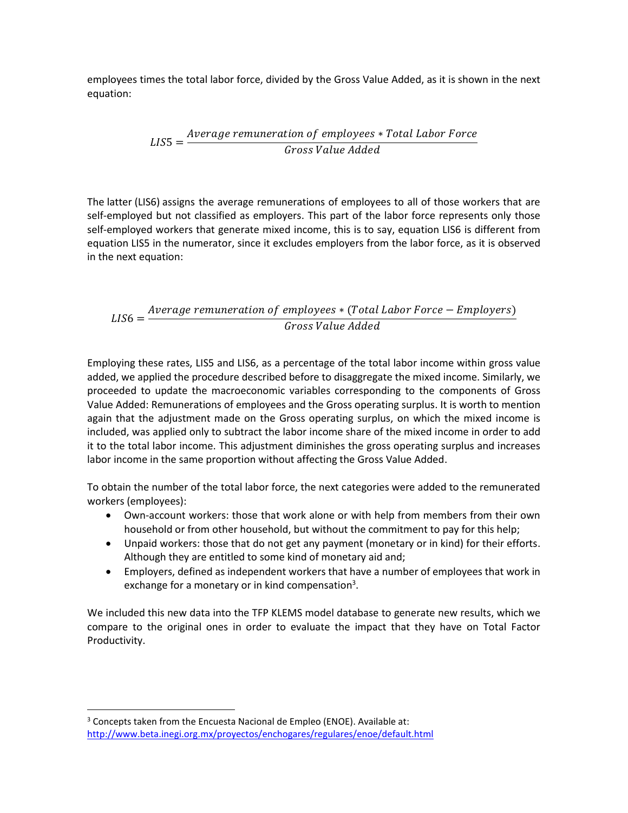employees times the total labor force, divided by the Gross Value Added, as it is shown in the next equation:

$$
LISS = \frac{Average \, remuneration \, of \, employees * Total \, Labor \, Force}{Gross \, Value \, Added}
$$

The latter (LIS6) assigns the average remunerations of employees to all of those workers that are self-employed but not classified as employers. This part of the labor force represents only those self-employed workers that generate mixed income, this is to say, equation LIS6 is different from equation LIS5 in the numerator, since it excludes employers from the labor force, as it is observed in the next equation:

$$
LIS6 = \frac{Average remuneration of employees * (Total Labor Force - Emplovers)}{Gross Value added}
$$

Employing these rates, LIS5 and LIS6, as a percentage of the total labor income within gross value added, we applied the procedure described before to disaggregate the mixed income. Similarly, we proceeded to update the macroeconomic variables corresponding to the components of Gross Value Added: Remunerations of employees and the Gross operating surplus. It is worth to mention again that the adjustment made on the Gross operating surplus, on which the mixed income is included, was applied only to subtract the labor income share of the mixed income in order to add it to the total labor income. This adjustment diminishes the gross operating surplus and increases labor income in the same proportion without affecting the Gross Value Added.

To obtain the number of the total labor force, the next categories were added to the remunerated workers (employees):

- Own-account workers: those that work alone or with help from members from their own household or from other household, but without the commitment to pay for this help;
- Unpaid workers: those that do not get any payment (monetary or in kind) for their efforts. Although they are entitled to some kind of monetary aid and;
- Employers, defined as independent workers that have a number of employees that work in exchange for a monetary or in kind compensation<sup>3</sup>.

We included this new data into the TFP KLEMS model database to generate new results, which we compare to the original ones in order to evaluate the impact that they have on Total Factor Productivity.

 $\ddot{\phantom{a}}$ 

<sup>&</sup>lt;sup>3</sup> Concepts taken from the Encuesta Nacional de Empleo (ENOE). Available at: <http://www.beta.inegi.org.mx/proyectos/enchogares/regulares/enoe/default.html>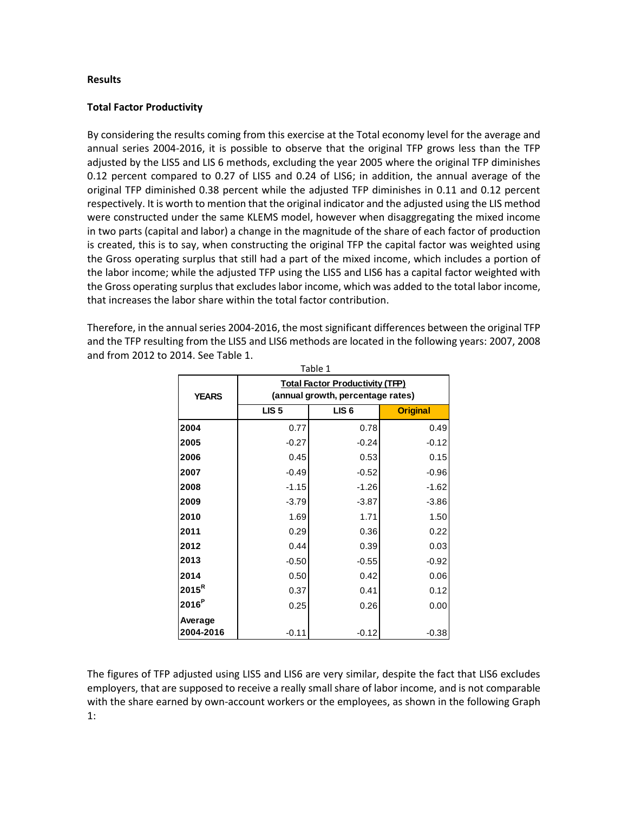#### **Results**

## **Total Factor Productivity**

By considering the results coming from this exercise at the Total economy level for the average and annual series 2004-2016, it is possible to observe that the original TFP grows less than the TFP adjusted by the LIS5 and LIS 6 methods, excluding the year 2005 where the original TFP diminishes 0.12 percent compared to 0.27 of LIS5 and 0.24 of LIS6; in addition, the annual average of the original TFP diminished 0.38 percent while the adjusted TFP diminishes in 0.11 and 0.12 percent respectively. It is worth to mention that the original indicator and the adjusted using the LIS method were constructed under the same KLEMS model, however when disaggregating the mixed income in two parts (capital and labor) a change in the magnitude of the share of each factor of production is created, this is to say, when constructing the original TFP the capital factor was weighted using the Gross operating surplus that still had a part of the mixed income, which includes a portion of the labor income; while the adjusted TFP using the LIS5 and LIS6 has a capital factor weighted with the Gross operating surplus that excludes labor income, which was added to the total labor income, that increases the labor share within the total factor contribution.

Therefore, in the annual series 2004-2016, the most significant differences between the original TFP and the TFP resulting from the LIS5 and LIS6 methods are located in the following years: 2007, 2008 and from 2012 to 2014. See Table 1.

| Table 1              |                  |                                                                             |                 |  |
|----------------------|------------------|-----------------------------------------------------------------------------|-----------------|--|
| <b>YEARS</b>         |                  | <b>Total Factor Productivity (TFP)</b><br>(annual growth, percentage rates) |                 |  |
|                      | LIS <sub>5</sub> | LIS <sub>6</sub>                                                            | <b>Original</b> |  |
| 2004                 | 0.77             | 0.78                                                                        | 0.49            |  |
| 2005                 | $-0.27$          | $-0.24$                                                                     | $-0.12$         |  |
| 2006                 | 0.45             | 0.53                                                                        | 0.15            |  |
| 2007                 | $-0.49$          | $-0.52$                                                                     | $-0.96$         |  |
| 2008                 | $-1.15$          | $-1.26$                                                                     | $-1.62$         |  |
| 2009                 | $-3.79$          | $-3.87$                                                                     | $-3.86$         |  |
| 2010                 | 1.69             | 1.71                                                                        | 1.50            |  |
| 2011                 | 0.29             | 0.36                                                                        | 0.22            |  |
| 2012                 | 0.44             | 0.39                                                                        | 0.03            |  |
| 2013                 | $-0.50$          | $-0.55$                                                                     | $-0.92$         |  |
| 2014                 | 0.50             | 0.42                                                                        | 0.06            |  |
| $2015^R$             | 0.37             | 0.41                                                                        | 0.12            |  |
| 2016 <sup>P</sup>    | 0.25             | 0.26                                                                        | 0.00            |  |
| Average<br>2004-2016 | $-0.11$          | $-0.12$                                                                     | $-0.38$         |  |

The figures of TFP adjusted using LIS5 and LIS6 are very similar, despite the fact that LIS6 excludes employers, that are supposed to receive a really small share of labor income, and is not comparable with the share earned by own-account workers or the employees, as shown in the following Graph 1: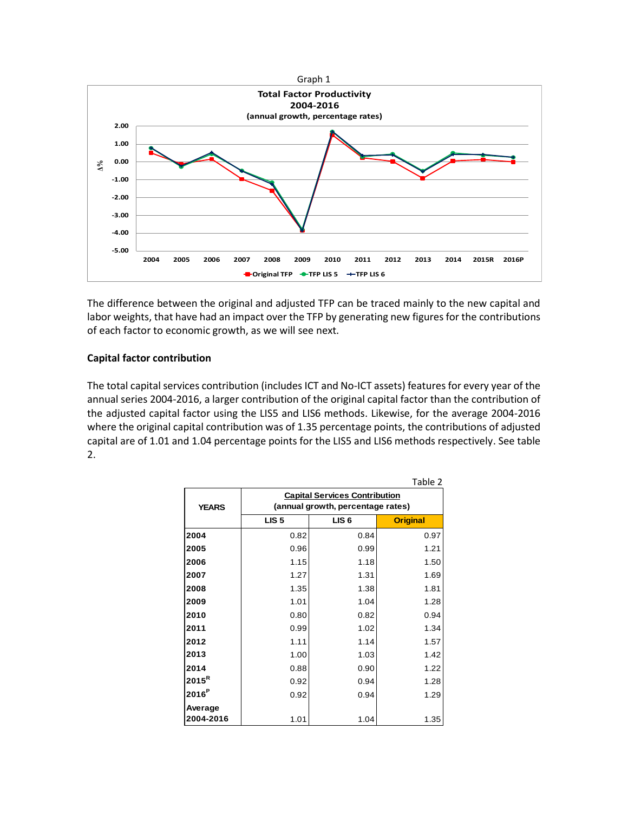

The difference between the original and adjusted TFP can be traced mainly to the new capital and labor weights, that have had an impact over the TFP by generating new figures for the contributions of each factor to economic growth, as we will see next.

# **Capital factor contribution**

The total capital services contribution (includes ICT and No-ICT assets) features for every year of the annual series 2004-2016, a larger contribution of the original capital factor than the contribution of the adjusted capital factor using the LIS5 and LIS6 methods. Likewise, for the average 2004-2016 where the original capital contribution was of 1.35 percentage points, the contributions of adjusted capital are of 1.01 and 1.04 percentage points for the LIS5 and LIS6 methods respectively. See table 2.

|                      |                                                                           |                  | Table 2         |  |  |
|----------------------|---------------------------------------------------------------------------|------------------|-----------------|--|--|
| <b>YEARS</b>         | <b>Capital Services Contribution</b><br>(annual growth, percentage rates) |                  |                 |  |  |
|                      | LIS <sub>5</sub>                                                          | LIS <sub>6</sub> | <b>Original</b> |  |  |
| 2004                 | 0.82                                                                      | 0.84             | 0.97            |  |  |
| 2005                 | 0.96                                                                      | 0.99             | 1.21            |  |  |
| 2006                 | 1.15                                                                      | 1.18             | 1.50            |  |  |
| 2007                 | 1.27                                                                      | 1.31             | 1.69            |  |  |
| 2008                 | 1.35                                                                      | 1.38             | 1.81            |  |  |
| 2009                 | 1.01                                                                      | 1.04             | 1.28            |  |  |
| 2010                 | 0.80                                                                      | 0.82             | 0.94            |  |  |
| 2011                 | 0.99                                                                      | 1.02             | 1.34            |  |  |
| 2012                 | 1.11                                                                      | 1.14             | 1.57            |  |  |
| 2013                 | 1.00                                                                      | 1.03             | 1.42            |  |  |
| 2014                 | 0.88                                                                      | 0.90             | 1.22            |  |  |
| $2015^R$             | 0.92                                                                      | 0.94             | 1.28            |  |  |
| 2016 <sup>P</sup>    | 0.92                                                                      | 0.94             | 1.29            |  |  |
| Average<br>2004-2016 | 1.01                                                                      | 1.04             | 1.35            |  |  |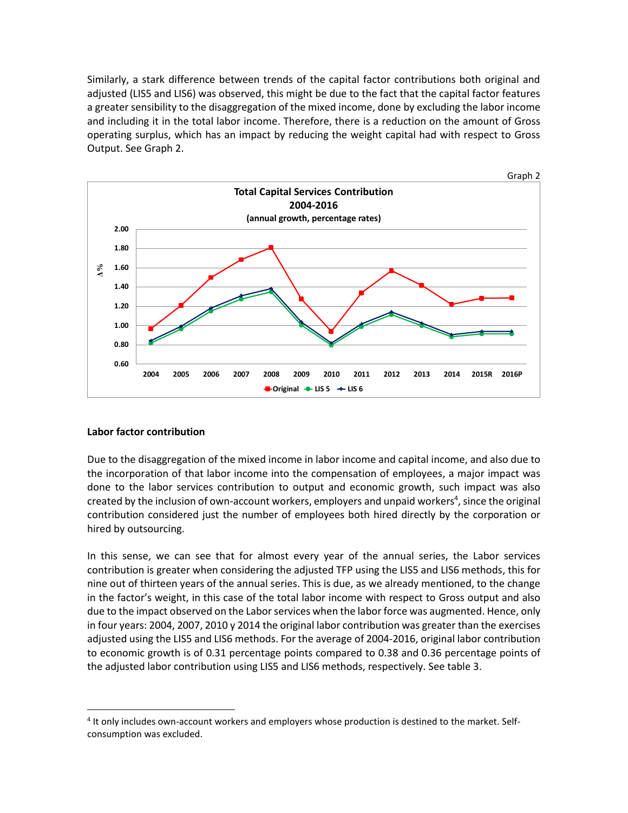Similarly, a stark difference between trends of the capital factor contributions both original and adjusted (LIS5 and LIS6) was observed, this might be due to the fact that the capital factor features a greater sensibility to the disaggregation of the mixed income, done by excluding the labor income and including it in the total labor income. Therefore, there is a reduction on the amount of Gross operating surplus, which has an impact by reducing the weight capital had with respect to Gross Output. See Graph 2.



## **Labor factor contribution**

 $\ddot{\phantom{a}}$ 

Due to the disaggregation of the mixed income in labor income and capital income, and also due to the incorporation of that labor income into the compensation of employees, a major impact was done to the labor services contribution to output and economic growth, such impact was also created by the inclusion of own-account workers, employers and unpaid workers<sup>4</sup>, since the original contribution considered just the number of employees both hired directly by the corporation or hired by outsourcing.

In this sense, we can see that for almost every year of the annual series, the Labor services contribution is greater when considering the adjusted TFP using the LIS5 and LIS6 methods, this for nine out of thirteen years of the annual series. This is due, as we already mentioned, to the change in the factor's weight, in this case of the total labor income with respect to Gross output and also due to the impact observed on the Labor services when the labor force was augmented. Hence, only in four years: 2004, 2007, 2010 y 2014 the original labor contribution was greater than the exercises adjusted using the LIS5 and LIS6 methods. For the average of 2004-2016, original labor contribution to economic growth is of 0.31 percentage points compared to 0.38 and 0.36 percentage points of the adjusted labor contribution using LIS5 and LIS6 methods, respectively. See table 3.

<sup>&</sup>lt;sup>4</sup> It only includes own-account workers and employers whose production is destined to the market. Selfconsumption was excluded.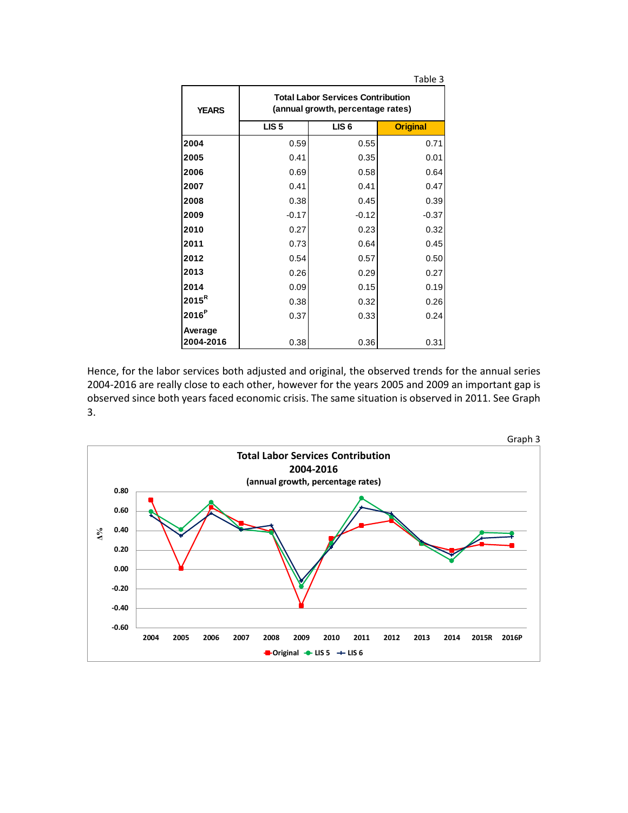|              |                                                                               |                  | Table 3         |  |  |
|--------------|-------------------------------------------------------------------------------|------------------|-----------------|--|--|
| <b>YEARS</b> | <b>Total Labor Services Contribution</b><br>(annual growth, percentage rates) |                  |                 |  |  |
|              | LIS <sub>5</sub>                                                              | LIS <sub>6</sub> | <b>Original</b> |  |  |
| 2004         | 0.59                                                                          | 0.55             | 0.71            |  |  |
| 2005         | 0.41                                                                          | 0.35             | 0.01            |  |  |
| 2006         | 0.69                                                                          | 0.58             | 0.64            |  |  |
| 2007         | 0.41                                                                          | 0.41             | 0.47            |  |  |
| 2008         | 0.38                                                                          | 0.45             | 0.39            |  |  |
| 2009         | $-0.17$                                                                       | $-0.12$          | $-0.37$         |  |  |
| 2010         | 0.27                                                                          | 0.23             | 0.32            |  |  |
| 2011         | 0.73                                                                          | 0.64             | 0.45            |  |  |
| 2012         | 0.54                                                                          | 0.57             | 0.50            |  |  |
| 2013         | 0.26                                                                          | 0.29             | 0.27            |  |  |
| 2014         | 0.09                                                                          | 0.15             | 0.19            |  |  |
| $2015^R$     | 0.38                                                                          | 0.32             | 0.26            |  |  |
| $2016^P$     | 0.37                                                                          | 0.33             | 0.24            |  |  |
| Average      |                                                                               |                  |                 |  |  |
| 2004-2016    | 0.38                                                                          | 0.36             | 0.31            |  |  |

Hence, for the labor services both adjusted and original, the observed trends for the annual series 2004-2016 are really close to each other, however for the years 2005 and 2009 an important gap is observed since both years faced economic crisis. The same situation is observed in 2011. See Graph 3.